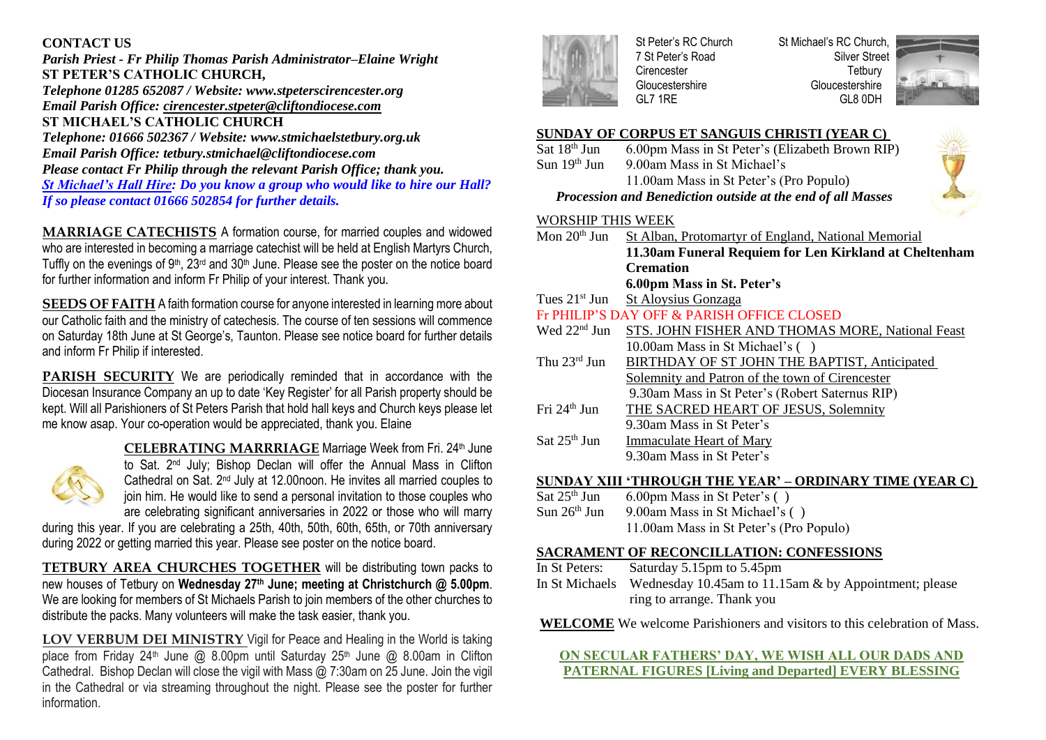## **CONTACT US**

*Parish Priest - Fr Philip Thomas Parish Administrator–Elaine Wright* **ST PETER'S CATHOLIC CHURCH,** *Telephone 01285 652087 / Website: [www.stpeterscirencester.org](about:blank) Email Parish Office: [cirencester.stpeter@cliftondiocese.com](about:blank)* **ST MICHAEL'S CATHOLIC CHURCH** *Telephone: 01666 502367 / Website: [www.stmichaelstetbury.org.uk](about:blank) Email Parish Office: [tetbury.stmichael@cliftondiocese.com](about:blank) Please contact Fr Philip through the relevant Parish Office; thank you. St Michael's Hall Hire: Do you know a group who would like to hire our Hall? If so please contact 01666 502854 for further details.*

**MARRIAGE CATECHISTS** A formation course, for married couples and widowed who are interested in becoming a marriage catechist will be held at English Martyrs Church, Tuffly on the evenings of  $9<sup>th</sup>$ ,  $23<sup>rd</sup>$  and  $30<sup>th</sup>$  June. Please see the poster on the notice board for further information and inform Fr Philip of your interest. Thank you.

**SEEDS OF FAITH** A faith formation course for anyone interested in learning more about our Catholic faith and the ministry of catechesis. The course of ten sessions will commence on Saturday 18th June at St George's, Taunton. Please see notice board for further details and inform Fr Philip if interested.

**PARISH SECURITY** We are periodically reminded that in accordance with the Diocesan Insurance Company an up to date 'Key Register' for all Parish property should be kept. Will all Parishioners of St Peters Parish that hold hall keys and Church keys please let me know asap. Your co-operation would be appreciated, thank you. Elaine



**CELEBRATING MARRRIAGE Marriage Week from Fri. 24th June** to Sat. 2<sup>nd</sup> July; Bishop Declan will offer the Annual Mass in Clifton Cathedral on Sat. 2<sup>nd</sup> July at 12.00noon. He invites all married couples to join him. He would like to send a personal invitation to those couples who are celebrating significant anniversaries in 2022 or those who will marry

during this year. If you are celebrating a 25th, 40th, 50th, 60th, 65th, or 70th anniversary during 2022 or getting married this year. Please see poster on the notice board.

**TETBURY AREA CHURCHES TOGETHER** will be distributing town packs to new houses of Tetbury on **Wednesday 27th June; meeting at Christchurch @ 5.00pm**. We are looking for members of St Michaels Parish to join members of the other churches to distribute the packs. Many volunteers will make the task easier, thank you.

**LOV VERBUM DEI MINISTRY** Vigil for Peace and Healing in the World is taking place from Friday 24<sup>th</sup> June @ 8.00pm until Saturday 25<sup>th</sup> June @ 8.00am in Clifton Cathedral. Bishop Declan will close the vigil with Mass @ 7:30am on 25 June. Join the vigil in the Cathedral or via streaming throughout the night. Please see the poster for further information.



St Peter's RC Church 7 St Peter's Road **Cirencester** Gloucestershire GL7 1RE

St Michael's RC Church, Silver Street **Tetbury** Gloucestershire GL8 0DH



## **SUNDAY OF CORPUS ET SANGUIS CHRISTI (YEAR C)**

Sat 18<sup>th</sup> Jun 6.00pm Mass in St Peter's (Elizabeth Brown RIP) Sun 19<sup>th</sup> Jun 9.00am Mass in St Michael's 11.00am Mass in St Peter's (Pro Populo)

# *Procession and Benediction outside at the end of all Masses*

### WORSHIP THIS WEEK

| Mon $20th$ Jun                             | St Alban, Protomartyr of England, National Memorial    |  |  |
|--------------------------------------------|--------------------------------------------------------|--|--|
|                                            | 11.30am Funeral Requiem for Len Kirkland at Cheltenham |  |  |
|                                            | <b>Cremation</b>                                       |  |  |
|                                            | 6.00pm Mass in St. Peter's                             |  |  |
| Tues $21st$ Jun                            | St Aloysius Gonzaga                                    |  |  |
| Fr PHILIP'S DAY OFF & PARISH OFFICE CLOSED |                                                        |  |  |
| Wed $22nd$ Jun                             | STS. JOHN FISHER AND THOMAS MORE, National Feast       |  |  |
|                                            | 10.00am Mass in St Michael's ()                        |  |  |
| Thu $23^{\text{rd}}$ Jun                   | BIRTHDAY OF ST JOHN THE BAPTIST, Anticipated           |  |  |
|                                            | Solemnity and Patron of the town of Cirencester        |  |  |
|                                            | 9.30am Mass in St Peter's (Robert Saternus RIP)        |  |  |
| Fri $24th$ Jun                             | THE SACRED HEART OF JESUS, Solemnity                   |  |  |
|                                            | 9.30am Mass in St Peter's                              |  |  |
| Sat $25th$ Jun                             | <b>Immaculate Heart of Mary</b>                        |  |  |
|                                            | 9.30am Mass in St Peter's                              |  |  |
|                                            |                                                        |  |  |

# **SUNDAY XIII 'THROUGH THE YEAR' – ORDINARY TIME (YEAR C)**<br>Sat 25<sup>th</sup> Jun 6.00pm Mass in St Peter's ()

- $6.00 \text{pm Mass}$  in St Peter's () Sun  $26<sup>th</sup>$  Jun 9.00am Mass in St Michael's ()
	- 11.00am Mass in St Peter's (Pro Populo)

### **SACRAMENT OF RECONCILLATION: CONFESSIONS**

- In St Peters: Saturday 5.15pm to 5.45pm
- In St Michaels Wednesday 10.45am to 11.15am & by Appointment; please ring to arrange. Thank you

**WELCOME** We welcome Parishioners and visitors to this celebration of Mass.

## **ON SECULAR FATHERS' DAY, WE WISH ALL OUR DADS AND PATERNAL FIGURES [Living and Departed] EVERY BLESSING**